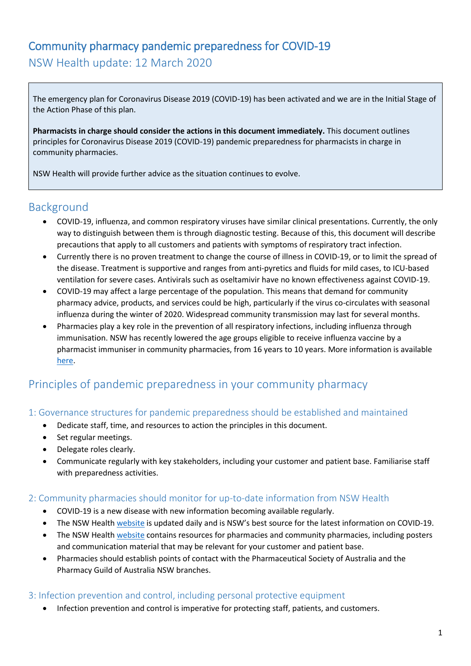# Community pharmacy pandemic preparedness for COVID-19 NSW Health update: 12 March 2020

The emergency plan for Coronavirus Disease 2019 (COVID-19) has been activated and we are in the Initial Stage of the Action Phase of this plan.

**Pharmacists in charge should consider the actions in this document immediately.** This document outlines principles for Coronavirus Disease 2019 (COVID-19) pandemic preparedness for pharmacists in charge in community pharmacies.

NSW Health will provide further advice as the situation continues to evolve.

## Background

- COVID-19, influenza, and common respiratory viruses have similar clinical presentations. Currently, the only way to distinguish between them is through diagnostic testing. Because of this, this document will describe precautions that apply to all customers and patients with symptoms of respiratory tract infection.
- Currently there is no proven treatment to change the course of illness in COVID-19, or to limit the spread of the disease. Treatment is supportive and ranges from anti-pyretics and fluids for mild cases, to ICU-based ventilation for severe cases. Antivirals such as oseltamivir have no known effectiveness against COVID-19.
- COVID-19 may affect a large percentage of the population. This means that demand for community pharmacy advice, products, and services could be high, particularly if the virus co-circulates with seasonal influenza during the winter of 2020. Widespread community transmission may last for several months.
- Pharmacies play a key role in the prevention of all respiratory infections, including influenza through immunisation. NSW has recently lowered the age groups eligible to receive influenza vaccine by a pharmacist immuniser in community pharmacies, from 16 years to 10 years. More information is available [here.](https://www.health.nsw.gov.au/immunisation/Pages/pharmacist-vaccination-expansion.aspx)

## Principles of pandemic preparedness in your community pharmacy

#### 1: Governance structures for pandemic preparedness should be established and maintained

- Dedicate staff, time, and resources to action the principles in this document.
- Set regular meetings.
- Delegate roles clearly.
- Communicate regularly with key stakeholders, including your customer and patient base. Familiarise staff with preparedness activities.

#### 2: Community pharmacies should monitor for up-to-date information from NSW Health

- COVID-19 is a new disease with new information becoming available regularly.
- The NSW Healt[h website](https://www.health.nsw.gov.au/Infectious/diseases/Pages/coronavirus-professionals.aspx) is updated daily and is NSW's best source for the latest information on COVID-19.
- The NSW Healt[h website](https://www.health.nsw.gov.au/Infectious/diseases/Pages/coronavirus-resources-hp.aspx) contains resources for pharmacies and community pharmacies, including posters and communication material that may be relevant for your customer and patient base.
- Pharmacies should establish points of contact with the Pharmaceutical Society of Australia and the Pharmacy Guild of Australia NSW branches.

#### 3: Infection prevention and control, including personal protective equipment

Infection prevention and control is imperative for protecting staff, patients, and customers.